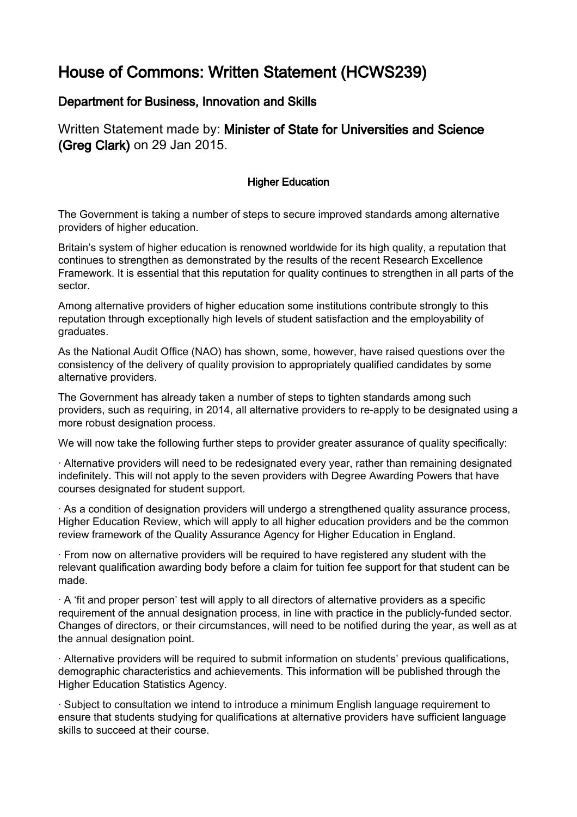## House of Commons: Written Statement (HCWS239)

## Department for Business, Innovation and Skills

Written Statement made by: Minister of State for Universities and Science (Greg Clark) on 29 Jan 2015.

## Higher Education

The Government is taking a number of steps to secure improved standards among alternative providers of higher education.

Britain's system of higher education is renowned worldwide for its high quality, a reputation that continues to strengthen as demonstrated by the results of the recent Research Excellence Framework. It is essential that this reputation for quality continues to strengthen in all parts of the sector.

Among alternative providers of higher education some institutions contribute strongly to this reputation through exceptionally high levels of student satisfaction and the employability of graduates.

As the National Audit Office (NAO) has shown, some, however, have raised questions over the consistency of the delivery of quality provision to appropriately qualified candidates by some alternative providers.

The Government has already taken a number of steps to tighten standards among such providers, such as requiring, in 2014, all alternative providers to re-apply to be designated using a more robust designation process.

We will now take the following further steps to provider greater assurance of quality specifically:

· Alternative providers will need to be redesignated every year, rather than remaining designated indefinitely. This will not apply to the seven providers with Degree Awarding Powers that have courses designated for student support.

· As a condition of designation providers will undergo a strengthened quality assurance process, Higher Education Review, which will apply to all higher education providers and be the common review framework of the Quality Assurance Agency for Higher Education in England.

· From now on alternative providers will be required to have registered any student with the relevant qualification awarding body before a claim for tuition fee support for that student can be made.

· A 'fit and proper person' test will apply to all directors of alternative providers as a specific requirement of the annual designation process, in line with practice in the publicly-funded sector. Changes of directors, or their circumstances, will need to be notified during the year, as well as at the annual designation point.

· Alternative providers will be required to submit information on students' previous qualifications, demographic characteristics and achievements. This information will be published through the Higher Education Statistics Agency.

· Subject to consultation we intend to introduce a minimum English language requirement to ensure that students studying for qualifications at alternative providers have sufficient language skills to succeed at their course.